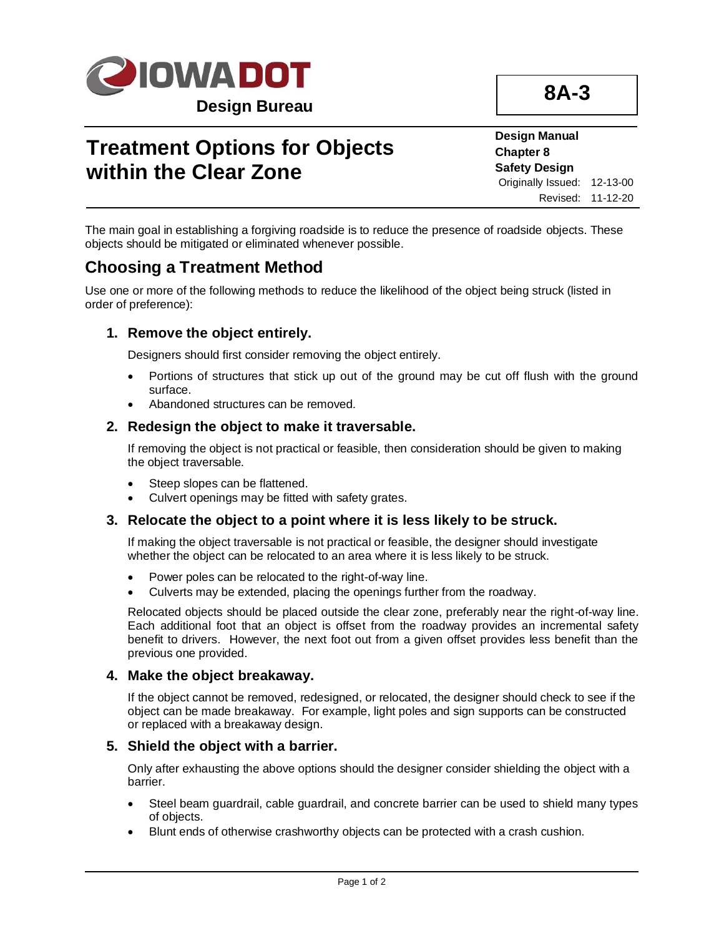

# **Treatment Options for Objects within the Clear Zone**

**Design Manual Chapter 8 Safety Design** Originally Issued: 12-13-00 Revised: 11-12-20

The main goal in establishing a forgiving roadside is to reduce the presence of roadside objects. These objects should be mitigated or eliminated whenever possible.

## **Choosing a Treatment Method**

Use one or more of the following methods to reduce the likelihood of the object being struck (listed in order of preference):

### **1. Remove the object entirely.**

Designers should first consider removing the object entirely.

- Portions of structures that stick up out of the ground may be cut off flush with the ground surface.
- Abandoned structures can be removed.

#### **2. Redesign the object to make it traversable.**

If removing the object is not practical or feasible, then consideration should be given to making the object traversable.

- Steep slopes can be flattened.
- Culvert openings may be fitted with safety grates.

### **3. Relocate the object to a point where it is less likely to be struck.**

If making the object traversable is not practical or feasible, the designer should investigate whether the object can be relocated to an area where it is less likely to be struck.

- Power poles can be relocated to the right-of-way line.
- Culverts may be extended, placing the openings further from the roadway.

Relocated objects should be placed outside the clear zone, preferably near the right-of-way line. Each additional foot that an object is offset from the roadway provides an incremental safety benefit to drivers. However, the next foot out from a given offset provides less benefit than the previous one provided.

#### **4. Make the object breakaway.**

If the object cannot be removed, redesigned, or relocated, the designer should check to see if the object can be made breakaway. For example, light poles and sign supports can be constructed or replaced with a breakaway design.

#### **5. Shield the object with a barrier.**

Only after exhausting the above options should the designer consider shielding the object with a barrier.

- Steel beam guardrail, cable guardrail, and concrete barrier can be used to shield many types of objects.
- Blunt ends of otherwise crashworthy objects can be protected with a crash cushion.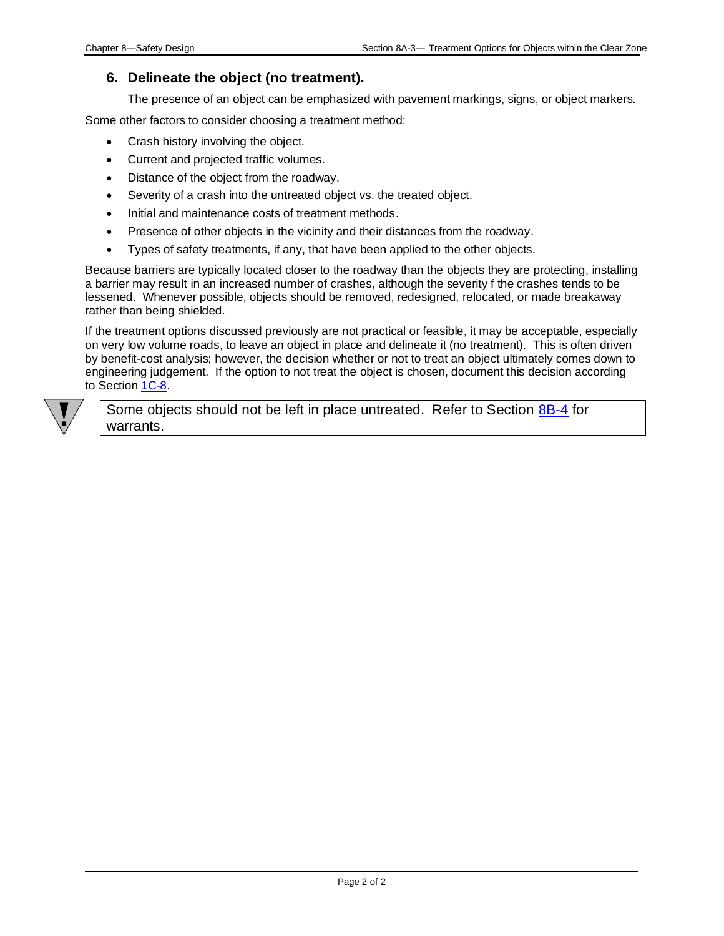### **6. Delineate the object (no treatment).**

The presence of an object can be emphasized with pavement markings, signs, or object markers.

Some other factors to consider choosing a treatment method:

- Crash history involving the object.
- Current and projected traffic volumes.
- Distance of the object from the roadway.
- Severity of a crash into the untreated object vs. the treated object.
- Initial and maintenance costs of treatment methods.
- Presence of other objects in the vicinity and their distances from the roadway.
- Types of safety treatments, if any, that have been applied to the other objects.

Because barriers are typically located closer to the roadway than the objects they are protecting, installing a barrier may result in an increased number of crashes, although the severity f the crashes tends to be lessened. Whenever possible, objects should be removed, redesigned, relocated, or made breakaway rather than being shielded.

If the treatment options discussed previously are not practical or feasible, it may be acceptable, especially on very low volume roads, to leave an object in place and delineate it (no treatment). This is often driven by benefit-cost analysis; however, the decision whether or not to treat an object ultimately comes down to engineering judgement. If the option to not treat the object is chosen, document this decision according to Section [1C-8.](01c-08.pdf)



Some objects should not be left in place untreated. Refer to Section [8B-4](08a-04.pdf) for warrants.